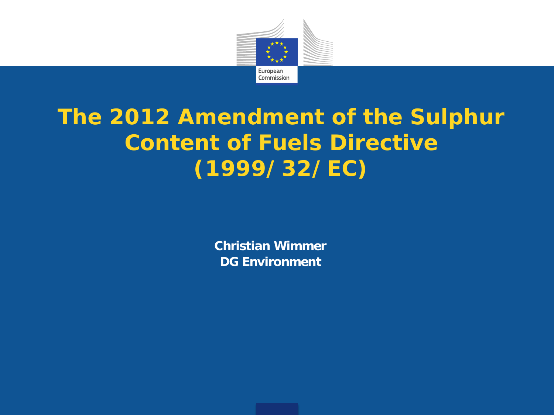

### **The 2012 Amendment of the Sulphur Content of Fuels Directive (1999/32/EC)**

**Christian Wimmer DG Environment**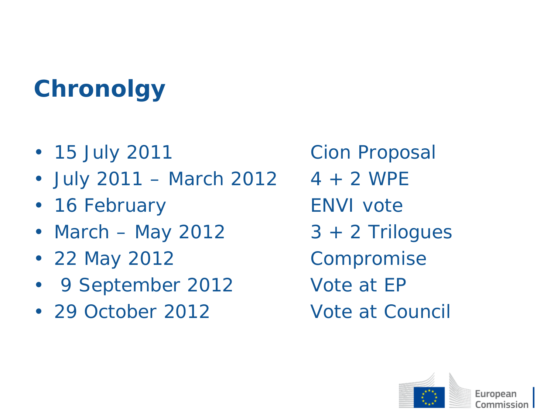# **Chronolgy**

- *15 July 2011 Cion Proposal*
- *July 2011 – March 2012 4 + 2 WPE*
- *16 February ENVI vote*
- *March – May 2012 3 + 2 Trilogues*
- *22 May 2012 Compromise*
- *9 September 2012 Vote at EP*
- *29 October 2012 Vote at Council*

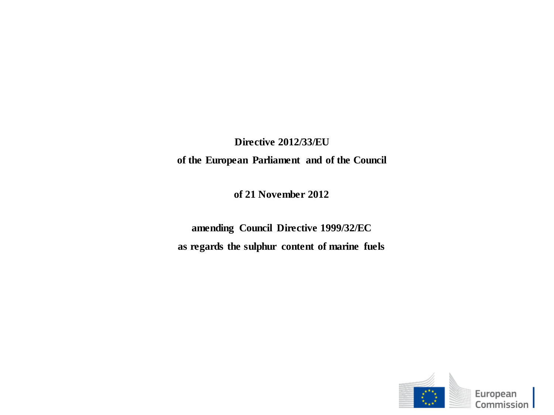**Directive 2012/33/EU**

**of the European Parliament and of the Council**

**of 21 November 2012**

**amending Council Directive 1999/32/EC as regards the sulphur content of marine fuels**

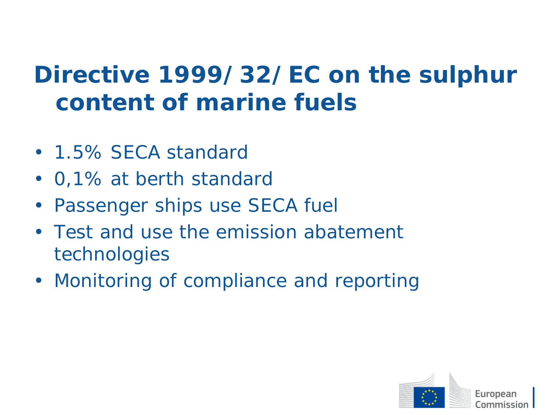# **Directive 1999/32/EC on the sulphur content of marine fuels**

- *1.5% SECA standard*
- *0,1% at berth standard*
- *Passenger ships use SECA fuel*
- *Test and use the emission abatement technologies*
- *Monitoring of compliance and reporting*

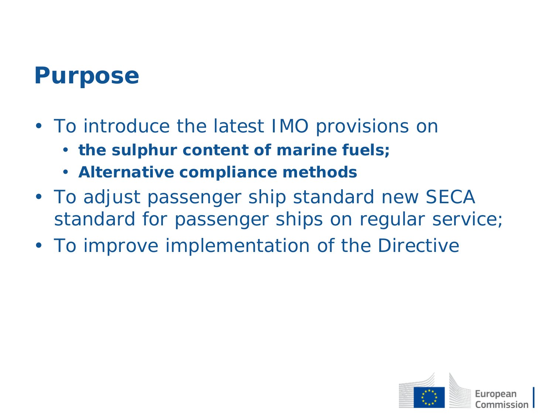### **Purpose**

- *To introduce the latest IMO provisions on* 
	- **the sulphur content of marine fuels;**
	- **Alternative compliance methods**
- *To adjust passenger ship standard new SECA standard for passenger ships on regular service;*
- *To improve implementation of the Directive*

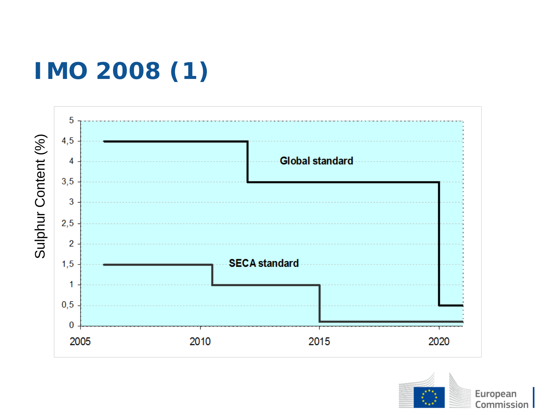# **IMO 2008 (1)**



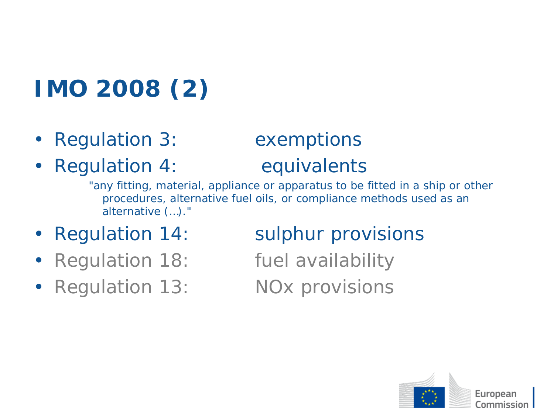# **IMO 2008 (2)**

- *Regulation 3: exemptions*
- *Regulation 4: equivalents*

"any fitting, material, appliance or apparatus to be fitted in a ship or other procedures, alternative fuel oils, or compliance methods used as an alternative (…)."

- 
- *Regulation 18: fuel availability*
- *Regulation 13: NOx provisions*

#### • *Regulation 14: sulphur provisions*

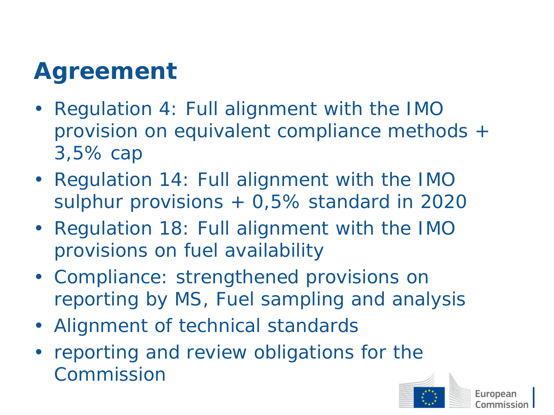# **Agreement**

- *Regulation 4: Full alignment with the IMO provision on equivalent compliance methods + 3,5% cap*
- *Regulation 14: Full alignment with the IMO sulphur provisions + 0,5% standard in 2020*
- *Regulation 18: Full alignment with the IMO provisions on fuel availability*
- *Compliance: strengthened provisions on reporting by MS, Fuel sampling and analysis*
- *Alignment of technical standards*
- *reporting and review obligations for the Commission*

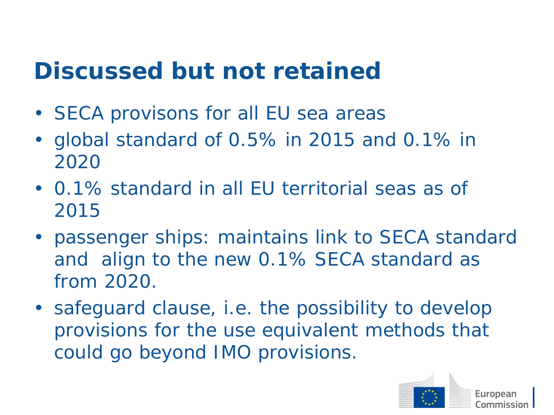### **Discussed but not retained**

- *SECA provisons for all EU sea areas*
- *global standard of 0.5% in 2015 and 0.1% in 2020*
- *0.1% standard in all EU territorial seas as of 2015*
- *passenger ships: maintains link to SECA standard and align to the new 0.1% SECA standard as from 2020.*
- *safeguard clause, i.e. the possibility to develop provisions for the use equivalent methods that could go beyond IMO provisions.*

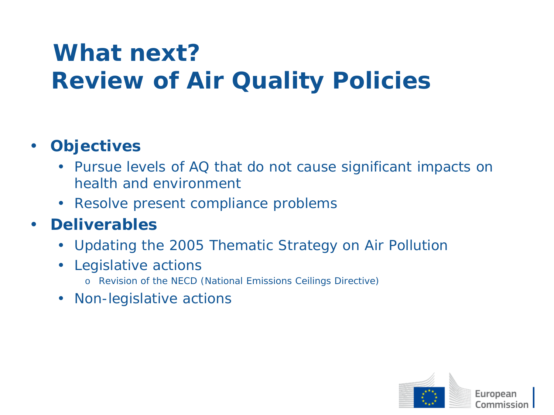# **What next? Review of Air Quality Policies**

#### • *Objectives*

- *Pursue levels of AQ that do not cause significant impacts on health and environment*
- *Resolve present compliance problems*

#### • *Deliverables*

- *Updating the 2005 Thematic Strategy on Air Pollution*
- *Legislative actions*
	- o Revision of the NECD (National Emissions Ceilings Directive)
- *Non-legislative actions*

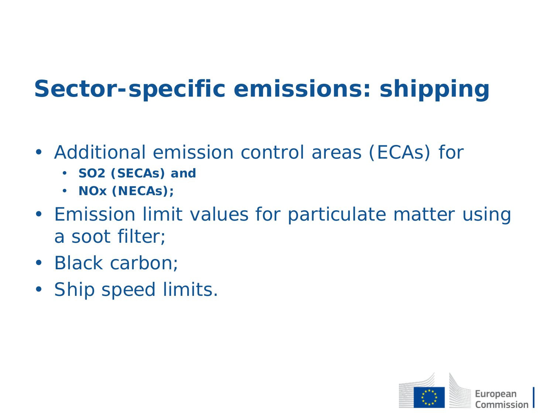# **Sector-specific emissions: shipping**

- *Additional emission control areas (ECAs) for* 
	- **SO2 (SECAs) and**
	- **NOx (NECAs);**
- *Emission limit values for particulate matter using a soot filter;*
- *Black carbon;*
- *Ship speed limits.*

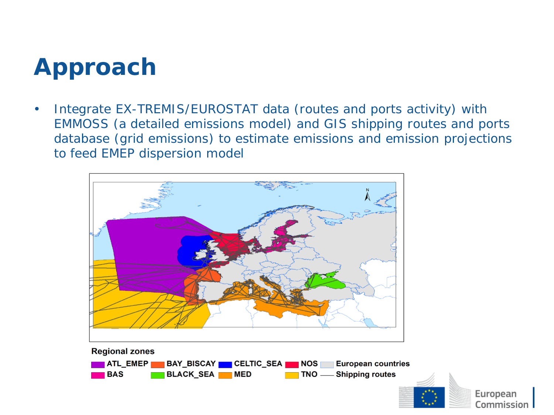### **Approach**

• *Integrate EX-TREMIS/EUROSTAT data (routes and ports activity) with EMMOSS (a detailed emissions model) and GIS shipping routes and ports database (grid emissions) to estimate emissions and emission projections to feed EMEP dispersion model*





European Commission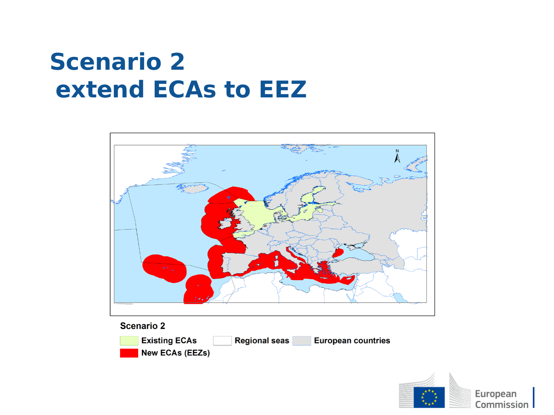## **Scenario 2 extend ECAs to EEZ**



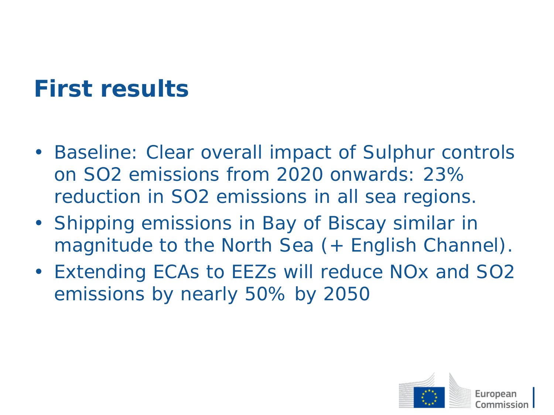# **First results**

- *Baseline: Clear overall impact of Sulphur controls on SO2 emissions from 2020 onwards: 23% reduction in SO2 emissions in all sea regions.*
- *Shipping emissions in Bay of Biscay similar in magnitude to the North Sea (+ English Channel).*
- *Extending ECAs to EEZs will reduce NOx and SO2 emissions by nearly 50% by 2050*